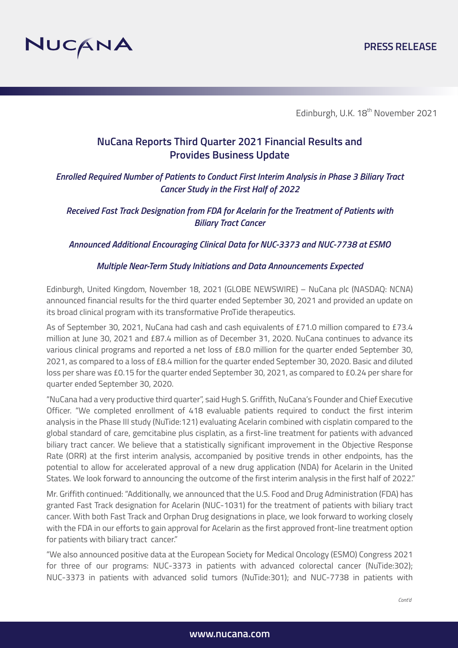

# **NuCana Reports Third Quarter 2021 Financial Results and Provides Business Update**

# *Enrolled Required Number of Patients to Conduct First Interim Analysis in Phase 3 Biliary Tract Cancer Study in the First Half of 2022*

*Received Fast Track Designation from FDA for Acelarin for the Treatment of Patients with Biliary Tract Cancer*

#### *Announced Additional Encouraging Clinical Data for NUC-3373 and NUC-7738 at ESMO*

#### *Multiple Near-Term Study Initiations and Data Announcements Expected*

Edinburgh, United Kingdom, November 18, 2021 (GLOBE NEWSWIRE) – NuCana plc (NASDAQ: NCNA) announced financial results for the third quarter ended September 30, 2021 and provided an update on its broad clinical program with its transformative ProTide therapeutics.

As of September 30, 2021, NuCana had cash and cash equivalents of £71.0 million compared to £73.4 million at June 30, 2021 and £87.4 million as of December 31, 2020. NuCana continues to advance its various clinical programs and reported a net loss of £8.0 million for the quarter ended September 30, 2021, as compared to a loss of £8.4 million for the quarter ended September 30, 2020. Basic and diluted loss per share was £0.15 for the quarter ended September 30, 2021, as compared to £0.24 per share for quarter ended September 30, 2020.

"NuCana had a very productive third quarter", said Hugh S. Griffith, NuCana's Founder and Chief Executive Officer. "We completed enrollment of 418 evaluable patients required to conduct the first interim analysis in the Phase III study (NuTide:121) evaluating Acelarin combined with cisplatin compared to the global standard of care, gemcitabine plus cisplatin, as a first-line treatment for patients with advanced biliary tract cancer. We believe that a statistically significant improvement in the Objective Response Rate (ORR) at the first interim analysis, accompanied by positive trends in other endpoints, has the potential to allow for accelerated approval of a new drug application (NDA) for Acelarin in the United States. We look forward to announcing the outcome of the first interim analysis in the first half of 2022."

Mr. Griffith continued: "Additionally, we announced that the U.S. Food and Drug Administration (FDA) has granted Fast Track designation for Acelarin (NUC-1031) for the treatment of patients with biliary tract cancer. With both Fast Track and Orphan Drug designations in place, we look forward to working closely with the FDA in our efforts to gain approval for Acelarin as the first approved front-line treatment option for patients with biliary tract cancer."

"We also announced positive data at the European Society for Medical Oncology (ESMO) Congress 2021 for three of our programs: NUC-3373 in patients with advanced colorectal cancer (NuTide:302); NUC-3373 in patients with advanced solid tumors (NuTide:301); and NUC-7738 in patients with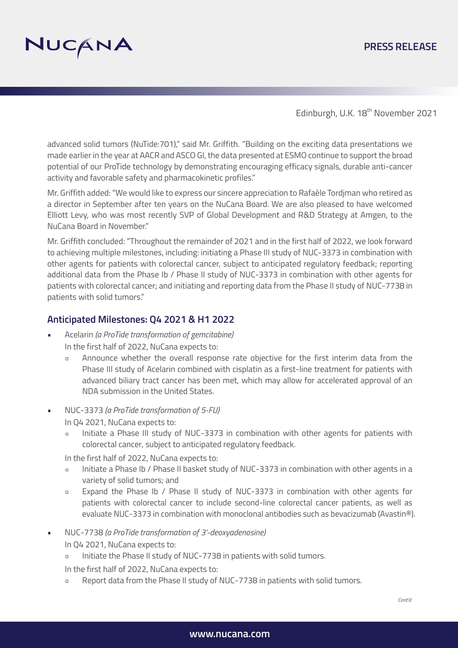

### **PRESS RELEASE**

Edinburgh, U.K. 18<sup>th</sup> November 2021

advanced solid tumors (NuTide:701)," said Mr. Griffith. "Building on the exciting data presentations we made earlier in the year at AACR and ASCO GI, the data presented at ESMO continue to support the broad potential of our ProTide technology by demonstrating encouraging efficacy signals, durable anti-cancer activity and favorable safety and pharmacokinetic profiles."

Mr. Griffith added: "We would like to express our sincere appreciation to Rafaèle Tordjman who retired as a director in September after ten years on the NuCana Board. We are also pleased to have welcomed Elliott Levy, who was most recently SVP of Global Development and R&D Strategy at Amgen, to the NuCana Board in November."

Mr. Griffith concluded: "Throughout the remainder of 2021 and in the first half of 2022, we look forward to achieving multiple milestones, including: initiating a Phase III study of NUC-3373 in combination with other agents for patients with colorectal cancer, subject to anticipated regulatory feedback; reporting additional data from the Phase Ib / Phase II study of NUC-3373 in combination with other agents for patients with colorectal cancer; and initiating and reporting data from the Phase II study of NUC-7738 in patients with solid tumors."

#### **Anticipated Milestones: Q4 2021 & H1 2022**

- Acelarin *(a ProTide transformation of gemcitabine)* In the first half of 2022, NuCana expects to:
	- Announce whether the overall response rate objective for the first interim data from the  $\blacksquare$  Phase III study of Acelarin combined with cisplatin as a first-line treatment for patients with advanced biliary tract cancer has been met, which may allow for accelerated approval of an NDA submission in the United States.
- NUC-3373 *(a ProTide transformation of 5-FU)* In Q4 2021, NuCana expects to:
	- Initiate a Phase III study of NUC-3373 in combination with other agents for patients with  $\blacksquare$ colorectal cancer, subject to anticipated regulatory feedback.

In the first half of 2022, NuCana expects to:

- Initiate a Phase Ib / Phase II basket study of NUC-3373 in combination with other agents in a  $\overline{a}$ variety of solid tumors; and
- Expand the Phase Ib / Phase II study of NUC-3373 in combination with other agents for  $\Box$  patients with colorectal cancer to include second-line colorectal cancer patients, as well as evaluate NUC-3373 in combination with monoclonal antibodies such as bevacizumab (Avastin®).

#### • NUC-7738 *(a ProTide transformation of 3'-deoxyadenosine)* In Q4 2021, NuCana expects to:

Initiate the Phase II study of NUC-7738 in patients with solid tumors.  $\blacksquare$ 

In the first half of 2022, NuCana expects to:

Report data from the Phase II study of NUC-7738 in patients with solid tumors.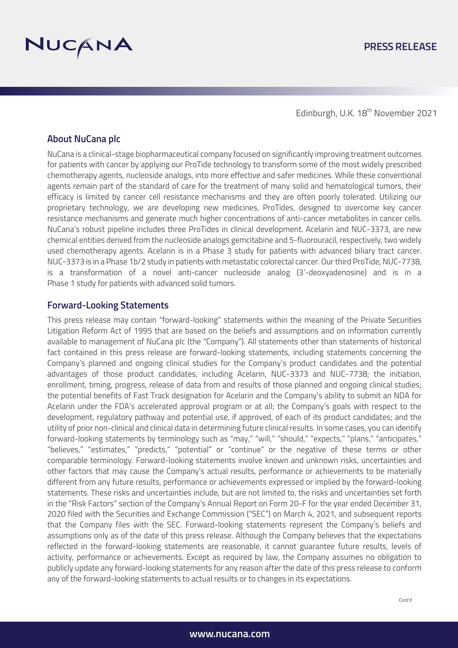

#### **About NuCana plc**

NuCana is a clinical-stage biopharmaceutical company focused on significantly improving treatment outcomes for patients with cancer by applying our ProTide technology to transform some of the most widely prescribed chemotherapy agents, nucleoside analogs, into more effective and safer medicines. While these conventional agents remain part of the standard of care for the treatment of many solid and hematological tumors, their efficacy is limited by cancer cell resistance mechanisms and they are often poorly tolerated. Utilizing our proprietary technology, we are developing new medicines, ProTides, designed to overcome key cancer resistance mechanisms and generate much higher concentrations of anti-cancer metabolites in cancer cells. NuCana's robust pipeline includes three ProTides in clinical development. Acelarin and NUC-3373, are new chemical entities derived from the nucleoside analogs gemcitabine and 5-fluorouracil, respectively, two widely used chemotherapy agents. Acelarin is in a Phase 3 study for patients with advanced biliary tract cancer. NUC-3373 is in a Phase 1b/2 study in patients with metastatic colorectal cancer. Our third ProTide, NUC-7738, is a transformation of a novel anti-cancer nucleoside analog (3'-deoxyadenosine) and is in a Phase 1 study for patients with advanced solid tumors.

#### **Forward-Looking Statements**

This press release may contain "forward-looking" statements within the meaning of the Private Securities Litigation Reform Act of 1995 that are based on the beliefs and assumptions and on information currently available to management of NuCana plc (the "Company"). All statements other than statements of historical fact contained in this press release are forward-looking statements, including statements concerning the Company's planned and ongoing clinical studies for the Company's product candidates and the potential advantages of those product candidates, including Acelarin, NUC-3373 and NUC-7738; the initiation, enrollment, timing, progress, release of data from and results of those planned and ongoing clinical studies; the potential benefits of Fast Track designation for Acelarin and the Company's ability to submit an NDA for Acelarin under the FDA's accelerated approval program or at all; the Company's goals with respect to the development, regulatory pathway and potential use, if approved, of each of its product candidates; and the utility of prior non-clinical and clinical data in determining future clinical results. In some cases, you can identify forward-looking statements by terminology such as "may," "will," "should," "expects," "plans," "anticipates," "believes," "estimates," "predicts," "potential" or "continue" or the negative of these terms or other comparable terminology. Forward-looking statements involve known and unknown risks, uncertainties and other factors that may cause the Company's actual results, performance or achievements to be materially different from any future results, performance or achievements expressed or implied by the forward-looking statements. These risks and uncertainties include, but are not limited to, the risks and uncertainties set forth in the "Risk Factors" section of the Company's Annual Report on Form 20-F for the year ended December 31, 2020 filed with the Securities and Exchange Commission ("SEC") on March 4, 2021, and subsequent reports that the Company files with the SEC. Forward-looking statements represent the Company's beliefs and assumptions only as of the date of this press release. Although the Company believes that the expectations reflected in the forward-looking statements are reasonable, it cannot guarantee future results, levels of activity, performance or achievements. Except as required by law, the Company assumes no obligation to publicly update any forward-looking statements for any reason after the date of this press release to conform any of the forward-looking statements to actual results or to changes in its expectations.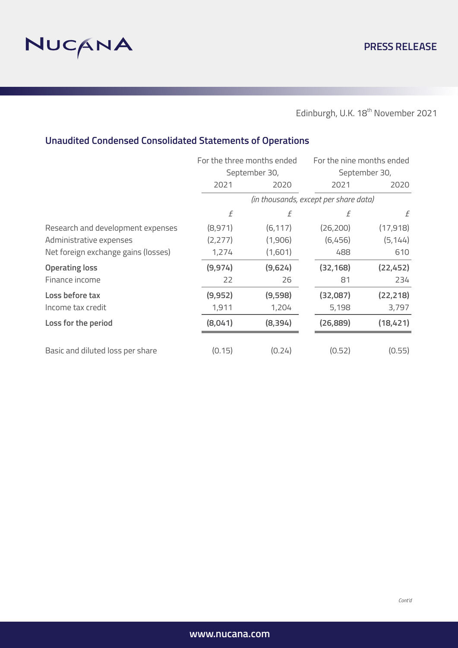

# **Unaudited Condensed Consolidated Statements of Operations**

|                                     | For the three months ended |                                       |           | For the nine months ended<br>September 30, |  |
|-------------------------------------|----------------------------|---------------------------------------|-----------|--------------------------------------------|--|
|                                     |                            | September 30,                         |           |                                            |  |
|                                     | 2021                       | 2020                                  | 2021      | 2020                                       |  |
|                                     |                            | (in thousands, except per share data) |           |                                            |  |
|                                     | f                          | f                                     | f         | f                                          |  |
| Research and development expenses   | (8,971)                    | (6, 117)                              | (26, 200) | (17, 918)                                  |  |
| Administrative expenses             | (2,277)                    | (1,906)                               | (6,456)   | (5, 144)                                   |  |
| Net foreign exchange gains (losses) | 1,274                      | (1,601)                               | 488       | 610                                        |  |
| <b>Operating loss</b>               | (9, 974)                   | (9,624)                               | (32, 168) | (22, 452)                                  |  |
| Finance income                      | 22                         | 26                                    | 81        | 234                                        |  |
| Loss before tax                     | (9,952)                    | (9,598)                               | (32,087)  | (22, 218)                                  |  |
| Income tax credit                   | 1,911                      | 1,204                                 | 5,198     | 3,797                                      |  |
| Loss for the period                 | (8,041)                    | (8, 394)                              | (26, 889) | (18, 421)                                  |  |
|                                     |                            |                                       |           |                                            |  |
| Basic and diluted loss per share    | (0.15)                     | (0.24)                                | (0.52)    | (0.55)                                     |  |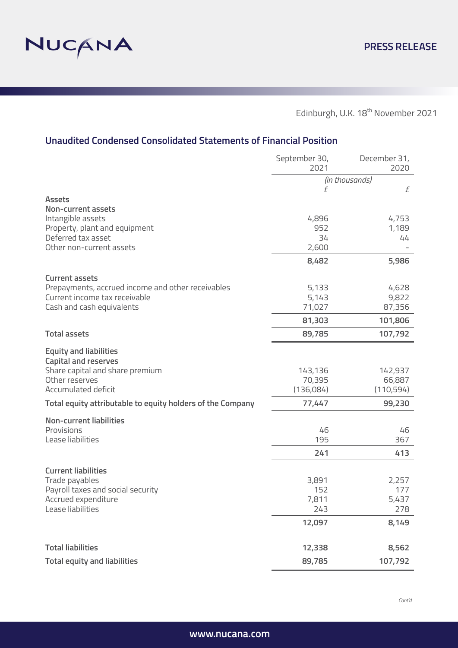

# **Unaudited Condensed Consolidated Statements of Financial Position**

|                                                              | September 30,<br>2021 | December 31,<br>2020 |  |
|--------------------------------------------------------------|-----------------------|----------------------|--|
|                                                              |                       | (in thousands)       |  |
| <b>Assets</b>                                                | f                     | f                    |  |
| Non-current assets                                           |                       |                      |  |
| Intangible assets                                            | 4,896                 | 4,753                |  |
| Property, plant and equipment                                | 952                   | 1,189                |  |
| Deferred tax asset                                           | 34                    | 44                   |  |
| Other non-current assets                                     | 2,600                 |                      |  |
|                                                              | 8,482                 | 5,986                |  |
| <b>Current assets</b>                                        |                       |                      |  |
| Prepayments, accrued income and other receivables            | 5,133                 | 4,628                |  |
| Current income tax receivable                                | 5,143                 | 9,822                |  |
| Cash and cash equivalents                                    | 71,027                | 87,356               |  |
|                                                              | 81,303                | 101,806              |  |
| <b>Total assets</b>                                          | 89,785                | 107,792              |  |
| <b>Equity and liabilities</b><br><b>Capital and reserves</b> |                       |                      |  |
| Share capital and share premium                              | 143,136               | 142,937              |  |
| Other reserves                                               | 70,395                | 66,887               |  |
| Accumulated deficit                                          | (136,084)             | (110, 594)           |  |
| Total equity attributable to equity holders of the Company   | 77,447                | 99,230               |  |
| <b>Non-current liabilities</b>                               |                       |                      |  |
| Provisions                                                   | 46                    | 46                   |  |
| Lease liabilities                                            | 195                   | 367                  |  |
|                                                              | 241                   | 413                  |  |
| <b>Current liabilities</b>                                   |                       |                      |  |
| Trade payables                                               | 3,891                 | 2,257                |  |
| Payroll taxes and social security                            | 152                   | 177                  |  |
| Accrued expenditure                                          | 7,811                 | 5,437                |  |
| Lease liabilities                                            | 243                   | 278                  |  |
|                                                              | 12,097                | 8,149                |  |
| <b>Total liabilities</b>                                     | 12,338                | 8,562                |  |
|                                                              |                       | 107,792              |  |
| <b>Total equity and liabilities</b>                          | 89,785                |                      |  |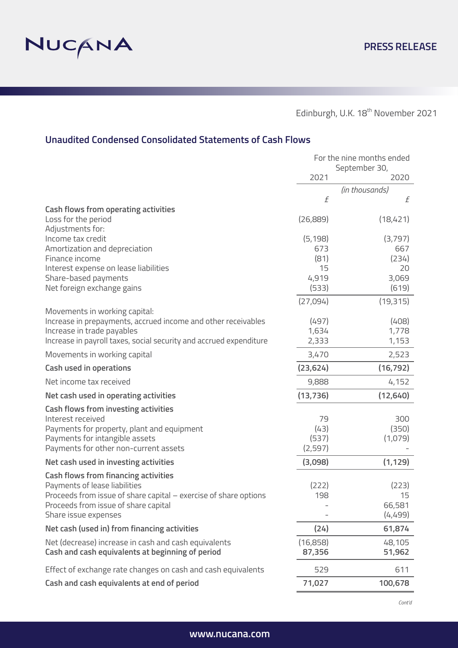

# **Unaudited Condensed Consolidated Statements of Cash Flows**

|                                                                    | For the nine months ended |                |
|--------------------------------------------------------------------|---------------------------|----------------|
|                                                                    | September 30,             |                |
|                                                                    | 2021                      | 2020           |
|                                                                    |                           | (in thousands) |
|                                                                    | $\boldsymbol{f}$          | £              |
| <b>Cash flows from operating activities</b><br>Loss for the period | (26,889)                  | (18, 421)      |
| Adjustments for:                                                   |                           |                |
| Income tax credit                                                  | (5, 198)                  | (3,797)        |
| Amortization and depreciation                                      | 673                       | 667            |
| Finance income<br>Interest expense on lease liabilities            | (81)<br>15                | (234)<br>20    |
| Share-based payments                                               | 4,919                     | 3,069          |
| Net foreign exchange gains                                         | (533)                     | (619)          |
|                                                                    |                           |                |
|                                                                    | (27,094)                  | (19, 315)      |
| Movements in working capital:                                      |                           |                |
| Increase in prepayments, accrued income and other receivables      | (497)                     | (408)          |
| Increase in trade payables                                         | 1,634                     | 1,778          |
| Increase in payroll taxes, social security and accrued expenditure | 2,333                     | 1,153          |
| Movements in working capital                                       | 3,470                     | 2,523          |
| <b>Cash used in operations</b>                                     | (23, 624)                 | (16, 792)      |
| Net income tax received                                            | 9,888                     | 4,152          |
| Net cash used in operating activities                              | (13, 736)                 | (12, 640)      |
| <b>Cash flows from investing activities</b>                        |                           |                |
| Interest received                                                  | 79                        | 300            |
| Payments for property, plant and equipment                         | (43)                      | (350)          |
| Payments for intangible assets                                     | (537)                     | (1,079)        |
| Payments for other non-current assets                              | (2, 597)                  |                |
| Net cash used in investing activities                              | (3,098)                   | (1, 129)       |
| <b>Cash flows from financing activities</b>                        |                           |                |
| Payments of lease liabilities                                      | (222)                     | (223)          |
| Proceeds from issue of share capital - exercise of share options   | 198                       | 15             |
| Proceeds from issue of share capital                               |                           | 66,581         |
| Share issue expenses                                               |                           | (4,499)        |
| Net cash (used in) from financing activities                       | (24)                      | 61,874         |
| Net (decrease) increase in cash and cash equivalents               | (16,858)                  | 48,105         |
| Cash and cash equivalents at beginning of period                   | 87,356                    | 51,962         |
| Effect of exchange rate changes on cash and cash equivalents       | 529                       | 611            |
|                                                                    |                           |                |
| Cash and cash equivalents at end of period                         | 71,027                    | 100,678        |